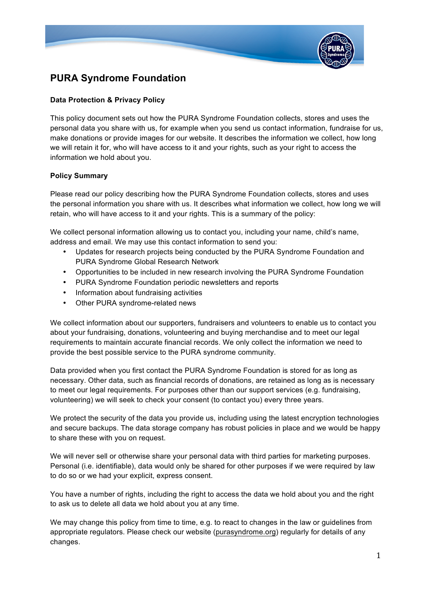

## **PURA Syndrome Foundation**

#### **Data Protection & Privacy Policy**

This policy document sets out how the PURA Syndrome Foundation collects, stores and uses the personal data you share with us, for example when you send us contact information, fundraise for us, make donations or provide images for our website. It describes the information we collect, how long we will retain it for, who will have access to it and your rights, such as your right to access the information we hold about you.

#### **Policy Summary**

Please read our policy describing how the PURA Syndrome Foundation collects, stores and uses the personal information you share with us. It describes what information we collect, how long we will retain, who will have access to it and your rights. This is a summary of the policy:

We collect personal information allowing us to contact you, including your name, child's name, address and email. We may use this contact information to send you:

- Updates for research projects being conducted by the PURA Syndrome Foundation and PURA Syndrome Global Research Network
- Opportunities to be included in new research involving the PURA Syndrome Foundation
- PURA Syndrome Foundation periodic newsletters and reports
- Information about fundraising activities
- Other PURA syndrome-related news

We collect information about our supporters, fundraisers and volunteers to enable us to contact you about your fundraising, donations, volunteering and buying merchandise and to meet our legal requirements to maintain accurate financial records. We only collect the information we need to provide the best possible service to the PURA syndrome community.

Data provided when you first contact the PURA Syndrome Foundation is stored for as long as necessary. Other data, such as financial records of donations, are retained as long as is necessary to meet our legal requirements. For purposes other than our support services (e.g. fundraising, volunteering) we will seek to check your consent (to contact you) every three years.

We protect the security of the data you provide us, including using the latest encryption technologies and secure backups. The data storage company has robust policies in place and we would be happy to share these with you on request.

We will never sell or otherwise share your personal data with third parties for marketing purposes. Personal (i.e. identifiable), data would only be shared for other purposes if we were required by law to do so or we had your explicit, express consent.

You have a number of rights, including the right to access the data we hold about you and the right to ask us to delete all data we hold about you at any time.

We may change this policy from time to time, e.g. to react to changes in the law or guidelines from appropriate regulators. Please check our website (purasyndrome.org) regularly for details of any changes.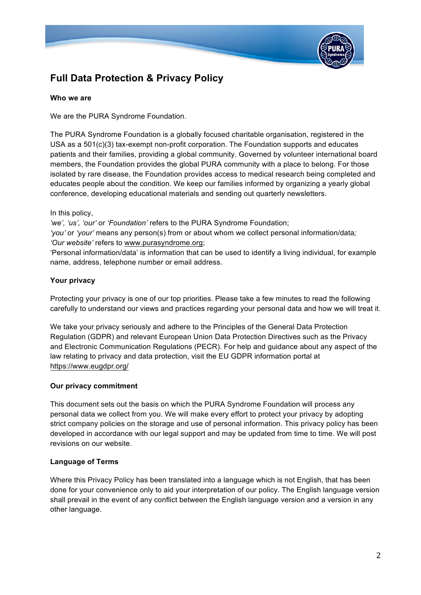

# **Full Data Protection & Privacy Policy**

#### **Who we are**

We are the PURA Syndrome Foundation.

The PURA Syndrome Foundation is a globally focused charitable organisation, registered in the USA as a 501(c)(3) tax-exempt non-profit corporation. The Foundation supports and educates patients and their families, providing a global community. Governed by volunteer international board members, the Foundation provides the global PURA community with a place to belong. For those isolated by rare disease, the Foundation provides access to medical research being completed and educates people about the condition. We keep our families informed by organizing a yearly global conference, developing educational materials and sending out quarterly newsletters.

In this policy,

*'we', 'us', 'our'* or *'Foundation'* refers to the PURA Syndrome Foundation;

*'you'* or *'your'* means any person(s) from or about whom we collect personal information/data*; 'Our website'* refers to www.purasyndrome.org;

'Personal information/data' is information that can be used to identify a living individual, for example name, address, telephone number or email address.

## **Your privacy**

Protecting your privacy is one of our top priorities. Please take a few minutes to read the following carefully to understand our views and practices regarding your personal data and how we will treat it.

We take your privacy seriously and adhere to the Principles of the General Data Protection Regulation (GDPR) and relevant European Union Data Protection Directives such as the Privacy and Electronic Communication Regulations (PECR). For help and guidance about any aspect of the law relating to privacy and data protection, visit the EU GDPR information portal at https://www.eugdpr.org/

#### **Our privacy commitment**

This document sets out the basis on which the PURA Syndrome Foundation will process any personal data we collect from you. We will make every effort to protect your privacy by adopting strict company policies on the storage and use of personal information. This privacy policy has been developed in accordance with our legal support and may be updated from time to time. We will post revisions on our website.

#### **Language of Terms**

Where this Privacy Policy has been translated into a language which is not English, that has been done for your convenience only to aid your interpretation of our policy. The English language version shall prevail in the event of any conflict between the English language version and a version in any other language.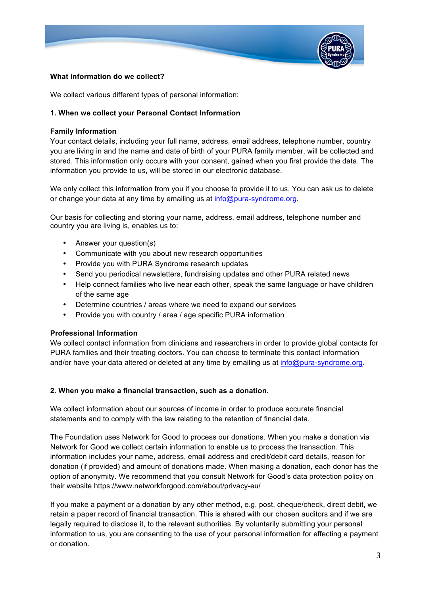

#### **What information do we collect?**

We collect various different types of personal information:

#### **1. When we collect your Personal Contact Information**

#### **Family Information**

Your contact details, including your full name, address, email address, telephone number, country you are living in and the name and date of birth of your PURA family member, will be collected and stored. This information only occurs with your consent, gained when you first provide the data. The information you provide to us, will be stored in our electronic database.

We only collect this information from you if you choose to provide it to us. You can ask us to delete or change your data at any time by emailing us at info@pura-syndrome.org.

Our basis for collecting and storing your name, address, email address, telephone number and country you are living is, enables us to:

- Answer your question(s)
- Communicate with you about new research opportunities
- Provide you with PURA Syndrome research updates
- Send you periodical newsletters, fundraising updates and other PURA related news
- Help connect families who live near each other, speak the same language or have children of the same age
- Determine countries / areas where we need to expand our services
- Provide you with country / area / age specific PURA information

#### **Professional Information**

We collect contact information from clinicians and researchers in order to provide global contacts for PURA families and their treating doctors. You can choose to terminate this contact information and/or have your data altered or deleted at any time by emailing us at info@pura-syndrome.org.

#### **2. When you make a financial transaction, such as a donation.**

We collect information about our sources of income in order to produce accurate financial statements and to comply with the law relating to the retention of financial data.

The Foundation uses Network for Good to process our donations. When you make a donation via Network for Good we collect certain information to enable us to process the transaction. This information includes your name, address, email address and credit/debit card details, reason for donation (if provided) and amount of donations made. When making a donation, each donor has the option of anonymity. We recommend that you consult Network for Good's data protection policy on their website https://www.networkforgood.com/about/privacy-eu/

If you make a payment or a donation by any other method, e.g. post, cheque/check, direct debit, we retain a paper record of financial transaction. This is shared with our chosen auditors and if we are legally required to disclose it, to the relevant authorities. By voluntarily submitting your personal information to us, you are consenting to the use of your personal information for effecting a payment or donation.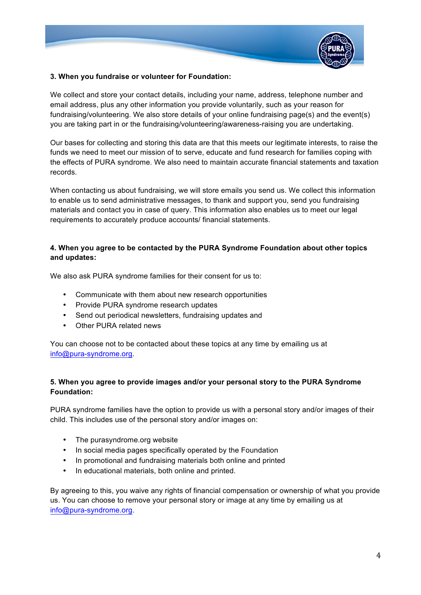

#### **3. When you fundraise or volunteer for Foundation:**

We collect and store your contact details, including your name, address, telephone number and email address, plus any other information you provide voluntarily, such as your reason for fundraising/volunteering. We also store details of your online fundraising page(s) and the event(s) you are taking part in or the fundraising/volunteering/awareness-raising you are undertaking.

Our bases for collecting and storing this data are that this meets our legitimate interests, to raise the funds we need to meet our mission of to serve, educate and fund research for families coping with the effects of PURA syndrome. We also need to maintain accurate financial statements and taxation records.

When contacting us about fundraising, we will store emails you send us. We collect this information to enable us to send administrative messages, to thank and support you, send you fundraising materials and contact you in case of query. This information also enables us to meet our legal requirements to accurately produce accounts/ financial statements.

#### **4. When you agree to be contacted by the PURA Syndrome Foundation about other topics and updates:**

We also ask PURA syndrome families for their consent for us to:

- Communicate with them about new research opportunities
- Provide PURA syndrome research updates
- Send out periodical newsletters, fundraising updates and
- Other PURA related news

You can choose not to be contacted about these topics at any time by emailing us at info@pura-syndrome.org.

#### **5. When you agree to provide images and/or your personal story to the PURA Syndrome Foundation:**

PURA syndrome families have the option to provide us with a personal story and/or images of their child. This includes use of the personal story and/or images on:

- The purasyndrome.org website
- In social media pages specifically operated by the Foundation
- In promotional and fundraising materials both online and printed
- In educational materials, both online and printed.

By agreeing to this, you waive any rights of financial compensation or ownership of what you provide us. You can choose to remove your personal story or image at any time by emailing us at info@pura-syndrome.org.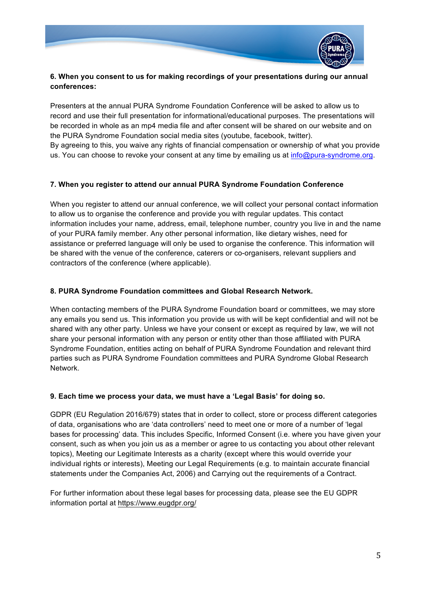

## **6. When you consent to us for making recordings of your presentations during our annual conferences:**

Presenters at the annual PURA Syndrome Foundation Conference will be asked to allow us to record and use their full presentation for informational/educational purposes. The presentations will be recorded in whole as an mp4 media file and after consent will be shared on our website and on the PURA Syndrome Foundation social media sites (youtube, facebook, twitter). By agreeing to this, you waive any rights of financial compensation or ownership of what you provide

us. You can choose to revoke your consent at any time by emailing us at info@pura-syndrome.org.

#### **7. When you register to attend our annual PURA Syndrome Foundation Conference**

When you register to attend our annual conference, we will collect your personal contact information to allow us to organise the conference and provide you with regular updates. This contact information includes your name, address, email, telephone number, country you live in and the name of your PURA family member. Any other personal information, like dietary wishes, need for assistance or preferred language will only be used to organise the conference. This information will be shared with the venue of the conference, caterers or co-organisers, relevant suppliers and contractors of the conference (where applicable).

#### **8. PURA Syndrome Foundation committees and Global Research Network.**

When contacting members of the PURA Syndrome Foundation board or committees, we may store any emails you send us. This information you provide us with will be kept confidential and will not be shared with any other party. Unless we have your consent or except as required by law, we will not share your personal information with any person or entity other than those affiliated with PURA Syndrome Foundation, entities acting on behalf of PURA Syndrome Foundation and relevant third parties such as PURA Syndrome Foundation committees and PURA Syndrome Global Research Network.

#### **9. Each time we process your data, we must have a 'Legal Basis' for doing so.**

GDPR (EU Regulation 2016/679) states that in order to collect, store or process different categories of data, organisations who are 'data controllers' need to meet one or more of a number of 'legal bases for processing' data. This includes Specific, Informed Consent (i.e. where you have given your consent, such as when you join us as a member or agree to us contacting you about other relevant topics), Meeting our Legitimate Interests as a charity (except where this would override your individual rights or interests), Meeting our Legal Requirements (e.g. to maintain accurate financial statements under the Companies Act, 2006) and Carrying out the requirements of a Contract.

For further information about these legal bases for processing data, please see the EU GDPR information portal at https://www.eugdpr.org/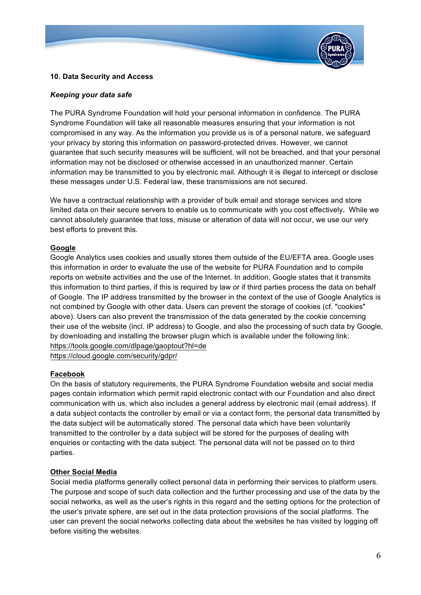

#### **10. Data Security and Access**

#### *Keeping your data safe*

The PURA Syndrome Foundation will hold your personal information in confidence. The PURA Syndrome Foundation will take all reasonable measures ensuring that your information is not compromised in any way. As the information you provide us is of a personal nature, we safeguard your privacy by storing this information on password-protected drives. However, we cannot guarantee that such security measures will be sufficient, will not be breached, and that your personal information may not be disclosed or otherwise accessed in an unauthorized manner. Certain information may be transmitted to you by electronic mail. Although it is illegal to intercept or disclose these messages under U.S. Federal law, these transmissions are not secured.

We have a contractual relationship with a provider of bulk email and storage services and store limited data on their secure servers to enable us to communicate with you cost effectively**.** While we cannot absolutely guarantee that loss, misuse or alteration of data will not occur, we use our very best efforts to prevent this.

#### **Google**

Google Analytics uses cookies and usually stores them outside of the EU/EFTA area. Google uses this information in order to evaluate the use of the website for PURA Foundation and to compile reports on website activities and the use of the Internet. In addition, Google states that it transmits this information to third parties, if this is required by law or if third parties process the data on behalf of Google. The IP address transmitted by the browser in the context of the use of Google Analytics is not combined by Google with other data. Users can prevent the storage of cookies (cf. "cookies" above). Users can also prevent the transmission of the data generated by the cookie concerning their use of the website (incl. IP address) to Google, and also the processing of such data by Google, by downloading and installing the browser plugin which is available under the following link: https://tools.google.com/dlpage/gaoptout?hl=de

https://cloud.google.com/security/gdpr/

#### **Facebook**

On the basis of statutory requirements, the PURA Syndrome Foundation website and social media pages contain information which permit rapid electronic contact with our Foundation and also direct communication with us, which also includes a general address by electronic mail (email address). If a data subject contacts the controller by email or via a contact form, the personal data transmitted by the data subject will be automatically stored. The personal data which have been voluntarily transmitted to the controller by a data subject will be stored for the purposes of dealing with enquiries or contacting with the data subject. The personal data will not be passed on to third parties.

#### **Other Social Media**

Social media platforms generally collect personal data in performing their services to platform users. The purpose and scope of such data collection and the further processing and use of the data by the social networks, as well as the user's rights in this regard and the setting options for the protection of the user's private sphere, are set out in the data protection provisions of the social platforms. The user can prevent the social networks collecting data about the websites he has visited by logging off before visiting the websites.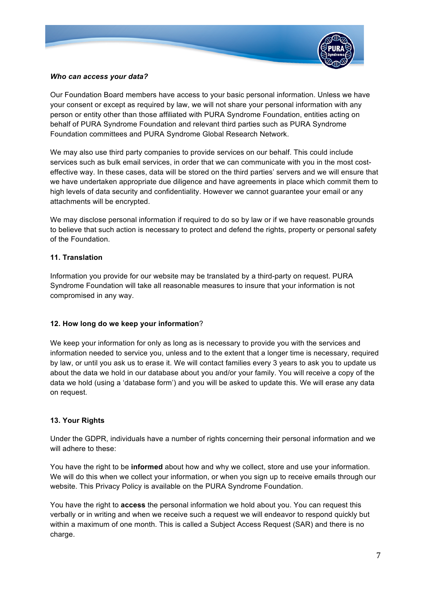

#### *Who can access your data?*

Our Foundation Board members have access to your basic personal information. Unless we have your consent or except as required by law, we will not share your personal information with any person or entity other than those affiliated with PURA Syndrome Foundation, entities acting on behalf of PURA Syndrome Foundation and relevant third parties such as PURA Syndrome Foundation committees and PURA Syndrome Global Research Network.

We may also use third party companies to provide services on our behalf. This could include services such as bulk email services, in order that we can communicate with you in the most costeffective way. In these cases, data will be stored on the third parties' servers and we will ensure that we have undertaken appropriate due diligence and have agreements in place which commit them to high levels of data security and confidentiality. However we cannot guarantee your email or any attachments will be encrypted.

We may disclose personal information if required to do so by law or if we have reasonable grounds to believe that such action is necessary to protect and defend the rights, property or personal safety of the Foundation.

## **11. Translation**

Information you provide for our website may be translated by a third-party on request. PURA Syndrome Foundation will take all reasonable measures to insure that your information is not compromised in any way.

#### **12. How long do we keep your information**?

We keep your information for only as long as is necessary to provide you with the services and information needed to service you, unless and to the extent that a longer time is necessary, required by law, or until you ask us to erase it. We will contact families every 3 years to ask you to update us about the data we hold in our database about you and/or your family. You will receive a copy of the data we hold (using a 'database form') and you will be asked to update this. We will erase any data on request.

#### **13. Your Rights**

Under the GDPR, individuals have a number of rights concerning their personal information and we will adhere to these:

You have the right to be **informed** about how and why we collect, store and use your information. We will do this when we collect your information, or when you sign up to receive emails through our website. This Privacy Policy is available on the PURA Syndrome Foundation.

You have the right to **access** the personal information we hold about you. You can request this verbally or in writing and when we receive such a request we will endeavor to respond quickly but within a maximum of one month. This is called a Subject Access Request (SAR) and there is no charge.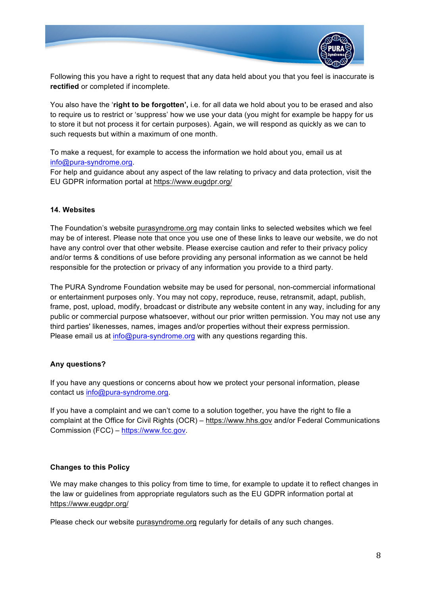

Following this you have a right to request that any data held about you that you feel is inaccurate is **rectified** or completed if incomplete.

You also have the '**right to be forgotten',** i.e. for all data we hold about you to be erased and also to require us to restrict or 'suppress' how we use your data (you might for example be happy for us to store it but not process it for certain purposes). Again, we will respond as quickly as we can to such requests but within a maximum of one month.

To make a request, for example to access the information we hold about you, email us at info@pura-syndrome.org.

For help and guidance about any aspect of the law relating to privacy and data protection, visit the EU GDPR information portal at https://www.eugdpr.org/

#### **14. Websites**

The Foundation's website purasyndrome.org may contain links to selected websites which we feel may be of interest. Please note that once you use one of these links to leave our website, we do not have any control over that other website. Please exercise caution and refer to their privacy policy and/or terms & conditions of use before providing any personal information as we cannot be held responsible for the protection or privacy of any information you provide to a third party.

The PURA Syndrome Foundation website may be used for personal, non-commercial informational or entertainment purposes only. You may not copy, reproduce, reuse, retransmit, adapt, publish, frame, post, upload, modify, broadcast or distribute any website content in any way, including for any public or commercial purpose whatsoever, without our prior written permission. You may not use any third parties' likenesses, names, images and/or properties without their express permission. Please email us at info@pura-syndrome.org with any questions regarding this.

#### **Any questions?**

If you have any questions or concerns about how we protect your personal information, please contact us info@pura-syndrome.org.

If you have a complaint and we can't come to a solution together, you have the right to file a complaint at the Office for Civil Rights (OCR) – https://www.hhs.gov and/or Federal Communications Commission (FCC) – https://www.fcc.gov.

#### **Changes to this Policy**

We may make changes to this policy from time to time, for example to update it to reflect changes in the law or guidelines from appropriate regulators such as the EU GDPR information portal at https://www.eugdpr.org/

Please check our website purasyndrome.org regularly for details of any such changes.